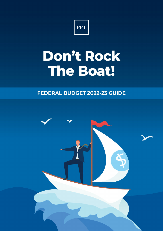

# Don't Rock The Boat!

# **FEDERAL BUDGET 2022-23 GUIDE**

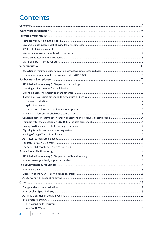# Contents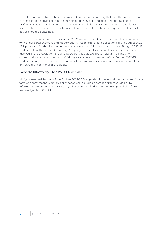The information contained herein is provided on the understanding that it neither represents nor is intended to be advice or that the authors or distributor is engaged in rendering legal or professional advice. Whilst every care has been taken in its preparation no person should act specifically on the basis of the material contained herein. If assistance is required, professional advice should be obtained.

The material contained in the Budget 2022-23 Update should be used as a guide in conjunction with professional expertise and judgement. All responsibility for applications of the Budget 2022- 23 Update and for the direct or indirect consequences of decisions based on the Budget 2022-23 Update rests with the user. Knowledge Shop Pty Ltd, directors and authors or any other person involved in the preparation and distribution of this guide, expressly disclaim all and any contractual, tortious or other form of liability to any person in respect of the Budget 2022-23 Update and any consequences arising from its use by any person in reliance upon the whole or any part of the contents of this guide.

#### Copyright © Knowledge Shop Pty Ltd. March 2022

All rights reserved. No part of the Budget 2022-23 Budget should be reproduced or utilised in any form or by any means, electronic or mechanical, including photocopying, recording or by information storage or retrieval system, other than specified without written permission from Knowledge Shop Pty Ltd.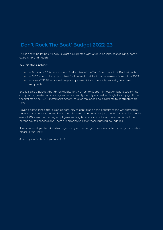# **'Don't Rock The Boat' Budget 2022-23**

This is a safe, ballot box friendly Budget as expected with a focus on jobs, cost of living, home ownership, and health.

#### Key initiatives include:

- A 6 month, 50% reduction in fuel excise with effect from midnight Budget night
- A \$420 cost of living tax offset for low and middle income earners from 1 July 2022
- A one-off \$250 economic support payment to some social security payment recipients

But, it is also a Budget that drives digitisation. Not just to support innovation but to streamline compliance, create transparency and more readily identify anomalies. Single touch payroll was the first step, the PAYG instalment system, trust compliance and payments to contractors are next.

Beyond compliance, there is an opportunity to capitalise on the benefits of the Government's push towards innovation and investment in new technology. Not just the \$120 tax deduction for every \$100 spent on training employees and digital adoption, but also the expansion of the patent box tax concessions. There are opportunities for those pushing boundaries.

If we can assist you to take advantage of any of the Budget measures, or to protect your position, please let us know.

As always, we're here if you need us!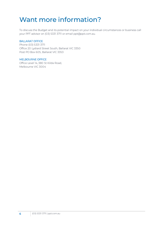# <span id="page-5-0"></span>Want more information?

To discuss the Budget and its potential impact on your individual circumstances or business call your PPT advisor on (03) 5331 3711 or email ppt@ppt.com.au.

#### BALLARAT OFFICE

Phone (03) 5331 3711 Office 20 Lydiard Street South, Ballarat VIC 3350 Post PO Box 605, Ballarat VIC 3353

#### MELBOURNE OFFICE

Office Level 14, 380 St Kilda Road, Melbourne VIC 3004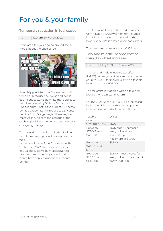# <span id="page-6-0"></span>For you & your family

<span id="page-6-1"></span>Temporary reduction in fuel excise

From 12.01am 30 March 2022

There are a few jokes going around social media about the price of fuel.



As widely predicted, the Government will temporarily reduce the excise and exciseequivalent customs duty rate that applies to petrol and diesel by 50% for 6 months from Budget night. That is, the current 44.2 cents per litre excise rate will reduce to 22.1 cents per litre from Budget night. However, the measure is subject to the passage of the enabling legislation so don't expect to see a change right away.

The reduction extends to all other fuel and petroleum based products except aviation fueld

At the conclusion of the 6 months on 28 September 2022, the excise and exciseequivalent customs duty rates revert to previous rates including any indexation that would have applied during the 6 month period.

The Australian Competition and Consumer Commission (ACCC) will monitor the price behaviour of retailers to ensure that the lower excise rate is passed on to consumers.

The measure comes at a cost of \$5.6bn.

### <span id="page-6-2"></span>Low and middle income cost of living tax offset increase

| 1 July 2021 to 30 June 2022<br>From |  |
|-------------------------------------|--|
|                                     |  |

The low and middle income tax offset (LMITO) currently provides a reduction in tax of up to \$1,080 for individuals with a taxable income of up to \$126,000.

The tax offset is triggered when a taxpayer lodges their 2021-22 tax return.

For the 2021-22, the LMITO will be increased by \$420 which means that the proposed new rates for individuals are as follows:

| Taxable          | Offset                     |
|------------------|----------------------------|
| income           |                            |
| \$37,000 or less | \$675                      |
| Between          | \$675 plus 7.5 cents for   |
| \$37,001 and     | every dollar above         |
| \$48,000         | \$37,000, up to a          |
|                  | maximum of \$1,500         |
| Between          | \$1,500                    |
| \$48,001 and     |                            |
| \$90,000         |                            |
| <b>Between</b>   | \$1,500 minus 3 cents for  |
| \$90,001 and     | every dollar of the amount |
| \$126,000        | above \$90,000             |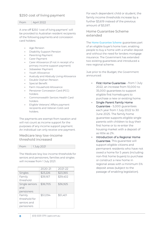# <span id="page-7-0"></span>\$250 cost of living payment

From April 2022

A one-off \$250 'cost of living payment' will be provided to Australian resident recipients of the following payments and concession card holders:

- Age Pension
- Disability Support Pension
- Parenting Payment
- Carer Payment
- Carer Allowance (if not in receipt of a primary income support payment)
- Jobseeker Payment
- Youth Allowance
- Austudy and Abstudy Living Allowance
- Double Orphan Pension
- Special Benefit
- Farm Household Allowance
- Pensioner Concession Card (PCC) holders
- Commonwealth Seniors Health Card holders
- Eligible Veterans' Affairs payment recipients and Veteran Gold card holders.

The payments are exempt from taxation and will not count as income support for the purposes of any income support payment. An individual can only receive one payment.

# <span id="page-7-1"></span>Medicare levy low-income threshold increased

From 1 July 2021

The Medicare levy low income thresholds for seniors and pensioners, families and singles will increase from 1 July 2021.

|                | 2020-21  | 2021-22  |
|----------------|----------|----------|
| Singles        | \$23,226 | \$23,365 |
| Family         | \$39,167 | \$39,402 |
| threshold      |          |          |
| Single seniors | \$36,705 | \$36,925 |
| and            |          |          |
| pensioners     |          |          |
| Family         | \$51,094 | \$51,401 |
| threshold for  |          |          |
| seniors and    |          |          |
| pensioners     |          |          |
|                |          |          |

For each dependent child or student, the family income thresholds increase by a further \$3,619 instead of the previous amount of \$3,597.

<span id="page-7-2"></span>Home Guarantee Scheme extended

The [Home Guarantee Scheme](https://www.nhfic.gov.au/what-we-do/support-to-buy-a-home) guarantees part of an eligible buyer's home loan, enabling people to buy a home with a smaller deposit and without the need for lenders mortgage insurance. The Government has extended two existing guarantees and introduced a new regional scheme.

Just prior to the Budget, the Government announced:

- First Home Guarantee from 1 July 2022, an increase from 10,000 to 35,000 guarantees to support eligible first homebuyers to purchase a new or existing home.
- Single Parent Family Home Guarantee - 5,000 guarantees each year from 1 July 2022 to 30 June 2025. The family home guarantee supports eligible single parents with children to buy their first home or to re-enter the housing market with a deposit of as little as 2%.
- Introduction of a Regional Home Guarantee. This guarantee will support eligible citizens and permanent residents who have not owed a home for 5 years (including non-first home buyers) to purchase or construct a new home in regional areas with a minimum 5% deposit areas (subject to the passage of enabling legislation).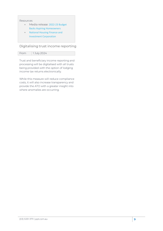#### Resources

- Media release: 2022-23 Budget [Backs Aspiring Homeowners](https://joshfrydenberg.com.au/latest-news/2022-23-budget-backs-aspiring-homeowners/)
- National Housing Finance and [Investment Corporation](https://www.nhfic.gov.au/what-we-do/support-to-buy-a-home/)

# <span id="page-8-0"></span>Digitalising trust income reporting

| From | 1 July 2024 |
|------|-------------|
|      |             |

Trust and beneficiary income reporting and processing will be digitalised with all trusts being provided with the option of lodging income tax returns electronically.

While this measure will reduce compliance costs, it will also increase transparency and provide the ATO with a greater insight into where anomalies are occurring.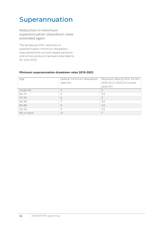# <span id="page-9-0"></span>Superannuation

<span id="page-9-1"></span>Reduction in minimum superannuation drawdown rates extended again

The temporary 50% reduction in superannuation minimum drawdown requirements for account-based pensions and similar products has been extended to 30 June 2023.

#### <span id="page-9-2"></span>**Minimum superannuation drawdown rates 2019-2023**

| Age        | Default minimum drawdown<br>rates $(\%)$ | Reduced rates by 50% for the<br>2019-20 to 2022-23 income<br>years $(\%)$ |
|------------|------------------------------------------|---------------------------------------------------------------------------|
| Under 65   | 4                                        |                                                                           |
| 65-74      | 5                                        | 2.5                                                                       |
| 75-79      | 6                                        | 3                                                                         |
| 80-84      | 7                                        | 3.5                                                                       |
| 85-89      | 9                                        | 4.5                                                                       |
| 90-94      | 11                                       | 5.5                                                                       |
| 95 or more | 14                                       | 7                                                                         |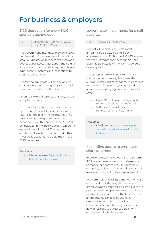# <span id="page-10-0"></span>For business & employers

<span id="page-10-1"></span>\$120 deduction for every \$100 spent on technology

| From | 7:30pm AEDT, 29 March 2022 |
|------|----------------------------|
|      | until 30 June 2023         |

The Government intends to provide a 120% tax deduction for expenditure incurred by small businesses on business expenses and depreciating assets that support their digital adoption, such as portable payment devices, cyber security systems or subscriptions to cloud based services.

The technology boost will be available to small business with an aggregated annual turnover of less than \$50 million.

An annual expenditure cap of \$100,000 will apply to the boost.

The boost for eligible expenditure incurred by 30 June 2022 will be claimed in tax returns for the following income year. The boost for eligible expenditure incurred between 1 July 2022 and 30 June 2023 will be included in the income year in which the expenditure is incurred. That is, the additional deduction available under this measure is expected to be claimed in the 2023 tax return.

#### Resources

• Media release: [Digital and](https://ministers.treasury.gov.au/ministers/josh-frydenberg-2018/media-releases/digital-and-skills-tax-boost-small-businesses) skills tax [boost for small businesses](https://ministers.treasury.gov.au/ministers/josh-frydenberg-2018/media-releases/digital-and-skills-tax-boost-small-businesses)

<span id="page-10-2"></span>Lowering tax instalments for small business

#### From 2022-23 income year

Normally, GST and PAYG instalment amounts are adjusted using a GDP adjustment or uplift. For the 2022-23 income year, the Government is setting this uplift factor at 2% instead of the 10% that would have applied.

The 2% uplift rate will apply to small to medium enterprises eligible to use the relevant instalment methods for instalments for the 2022-23 income year and are due after the amending legislation comes into effect:

- Up to \$10 million annual aggregated turnover for GST instalments and
- \$50 million annual aggregated turnover for PAYG instalments

#### Resources

• Media release: Cash flow support [and red tape reduction to help small](https://ministers.treasury.gov.au/ministers/josh-frydenberg-2018/media-releases/cash-flow-support-and-red-tape-reduction-help-small)  [business](https://ministers.treasury.gov.au/ministers/josh-frydenberg-2018/media-releases/cash-flow-support-and-red-tape-reduction-help-small)

### <span id="page-10-3"></span>Expanding access to employee share schemes

In broad terms, an Employee Share Scheme (ESS) is a scheme under which shares in a company, or rights to acquire shares in a company, are issued to an employee or their associate in respect of their employment.

At a commercial level, ESS arrangements are often used to better align the interests of employers and employees, as employees are provided with an opportunity to share in the profitability and growth of the business. The arrangements can also be useful in situations where a business is in start-up mode and does not have significant cash flow or reserves to attract top quality employees with high salaries.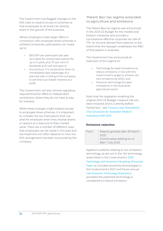The Government has flagged changes to the ESS rules to expand access to schemes so that employees at all levels can directly share in the growth of the business.

Where employers make larger offers in connection with employee share schemes in unlisted companies, participants can invest up to:

- \$30,000 per participant per year, accruable for unexercised options for up to 5 years, plus 70 per cent of dividends and cash bonuses; or
- Any amount, if it would allow them to immediately take advantage of a planned sale or listing of the company to sell their purchased interests at a profit.

The Government will also remove regulatory requirements for offers to independent contractors, where they do not have to pay for interests.

While these changes might expand access to employee share schemes, it is important to consider the tax implications that can arise for employee when they receive shares or options at a discount to their market value. There are a number of different ways that employees can be taxed in this area and the treatment will often depend on how the ESS arrangement has been structured by the company.

### <span id="page-11-0"></span>'Patent Box' tax regime extended to agriculture and emissions

The Patent Box tax regime was announced in the 2021-22 Budget for the medial and biotech industries and provides a concessional effective corporate tax rate of 17% on income derived from patents, to the extent that the taxpayer undertakes the R&D of that patent in Australia.

The Government has announced an extension of the regime to:

- Technology focused innovations to reduce emissions in line with the Government's target to achieve net zero emissions by 2050, and
- Practical, technology focused innovations in the Australian agricultural sector.

Note that the legislation enabling the original 2021-22 Budget measure has not been enacted and is currently before Parliament – see *[Treasury Laws Amendment](https://www.aph.gov.au/Parliamentary_Business/Bills_Legislation/Bills_Search_Results/Result?bId=r6838)  (Tax [Concession for Australian Medical](https://www.aph.gov.au/Parliamentary_Business/Bills_Legislation/Bills_Search_Results/Result?bId=r6838)  [Innovations\) Bill 2022](https://www.aph.gov.au/Parliamentary_Business/Bills_Legislation/Bills_Search_Results/Result?bId=r6838)*.

#### <span id="page-11-1"></span>**Emissions reduction**

| Income years starting on or | Patents granted after 29 March |
|-----------------------------|--------------------------------|
| after 1 July 2023           |                                |

Applies to patents relating to low emissions technology, as set out in the 140 technology areas listed in the Government's [2020](https://storage.googleapis.com/converlens-au-industry/industry/p/prj1a47c947e19c97e172db4/public_assets/technology-investment-roadmap-discussion-paper.pdf)  [Technology and Investment Roadmap Discussion](https://storage.googleapis.com/converlens-au-industry/industry/p/prj1a47c947e19c97e172db4/public_assets/technology-investment-roadmap-discussion-paper.pdf)  [Paper](https://storage.googleapis.com/converlens-au-industry/industry/p/prj1a47c947e19c97e172db4/public_assets/technology-investment-roadmap-discussion-paper.pdf) or included as priority technologies in the Government's 2021 and future annual [Low Emissions Technology Statements](https://www.industry.gov.au/data-and-publications/technology-investment-roadmap-low-emissions-technology-statement-2021), provided the patented technology is considered to reduce emissions.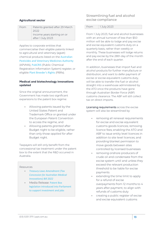#### <span id="page-12-0"></span>**Agricultural sector**

| From | Patents granted after 29 March<br>2022           |
|------|--------------------------------------------------|
|      | Income years starting on or<br>after 1 July 2023 |

Applies to corporate entities that commercialise their eligible patents linked to agricultural and veterinary (agvet) chemical products listed on the [Australian](https://apvma.gov.au/node/1061)  [Pesticides and Veterinary Medicines Authority](https://apvma.gov.au/node/1061) (APVMA), [PubCRIS](https://portal.apvma.gov.au/pubcris) (Public Chemical Registration Information System) register, or eligible [Plant Breeder's Rights](https://www.ipaustralia.gov.au/plant-breeders-rights) (PBRs).

#### <span id="page-12-1"></span>**Medical and biotechnology innovations updated**

Since the original announcement, the Government has made two significant expansions to the patent box regime:

- Allowing patents issued by the United States Patent and Trademark Office or granted under the European Patent Convention to access the regime, and
- Allowing patents *granted* after Budget night to be eligible, rather than only those *applied for* after Budget night.

Taxpayers will still only benefit from the concessional tax treatment under the patent box to the extent that the R&D occurred in Australia.

#### Resources

- *[Treasury Laws Amendment \(Tax](https://www.aph.gov.au/Parliamentary_Business/Bills_Legislation/Bills_Search_Results/Result?bId=r6838)  [Concession for Australian Medical](https://www.aph.gov.au/Parliamentary_Business/Bills_Legislation/Bills_Search_Results/Result?bId=r6838)  [Innovations\) Bill 2022](https://www.aph.gov.au/Parliamentary_Business/Bills_Legislation/Bills_Search_Results/Result?bId=r6838)*
- Media Release: [Patent Box](https://ministers.treasury.gov.au/ministers/josh-frydenberg-2018/media-releases/patent-box-legislation-introduced-parliament-support)  [legislation introduced into Parliament](https://ministers.treasury.gov.au/ministers/josh-frydenberg-2018/media-releases/patent-box-legislation-introduced-parliament-support)  [to support investment and jobs](https://ministers.treasury.gov.au/ministers/josh-frydenberg-2018/media-releases/patent-box-legislation-introduced-parliament-support)

### <span id="page-12-2"></span>Streamlining fuel and alcohol excise compliance

From 1 July 2023

From 1 July 2023, fuel and alcohol businesses with an annual turnover of less than \$50 million will be able to lodge and pay excise and excise equivalent customs duty on a quarterly basis, rather than weekly or monthly. These businesses will lodge returns and pay excise by the 28th day of the month after the end of each quarter.

In addition, businesses that import fuel and alcohol products for further manufacture or distribution, and want to defer payment of excise or excise-equivalent customs duty, will be able to transfer the fuel or alcohol straight into a warehouse administered by the ATO once the products have gone through Australian Border Force (ABF) customs clearance. The ABF will still collect tax on direct imports.

Licensing requirements across the excise system will also be streamlined by:

- removing all renewal requirements for excise and excise equivalent customs goods licences; removing licence fees; enabling the ATO and ABF to issue entity level licences in addition to site level licences; and providing blanket permission to move goods between sites controlled by licensed businesses
- removing onshore producers of crude oil and condensate from the excise system until and unless they exceed the relevant production threshold to be liable for excise payments
- extending the time limit to apply for a refund of excise overpayments from 12 months to 4 years after payment, to align with refunds of customs duty
- creating a public register of excise and excise equivalent customs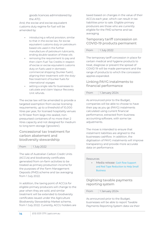goods licences administered by the ATO.

And, the excise and excise-equivalent customs duty regime for fuel will be amended by:

- introducing a refund provision, similar to that in the excise law, for excise equivalent customs duty on petroleum based oils used in the further manufacture of petroleum lubricants, ending double taxation of these oils
- removing the requirement to pay and then claim Fuel Tax Credits in respect of excise or excise equivalent customs duty on fuels used in domestic commercial shipping ('bunker fuels'), aligning their treatment with the dutyfree treatment of bunker fuels for international voyages
- setting a single rate for businesses to calculate and claim Vapour Recovery Unit refunds.

The excise law will be amended to provide a targeted exemption from excise licensing requirements, up to a threshold of 10,000 litres per year, for licensed hospitality venues to fill beer from kegs into sealed, nonpressurised containers of no more than 2 litres capacity and not designed for medium to long term storage ('growlers').

# <span id="page-13-0"></span>Concessional tax treatment for carbon abatement and biodiversity stewardship

From 1 July 2022

The sale of Australian Carbon Credit Units (ACCUs) and biodiversity certificates generated from on-farm activities to be treated as primary production income for the purposes of the Farm Management Deposits (FMD) scheme and tax averaging from 1 July 2022.

In addition, the taxing point of ACCUs for eligible primary producers will change to the year when they are sold, and similar treatment will be extended to biodiversity certificates issued under the Agriculture Biodiversity Stewardship Market scheme, from 1 July 2022. Currently, ACCU holders are

taxed based on changes in the value of their ACCUs each year, which can result in tax liabilities prior to sale. Eligible primary producers are those who are currently eligible for the FMD scheme and tax averaging.

# <span id="page-13-1"></span>Temporary tariff concession on COVID-19 products permanent

| From | 1 July 2022 |
|------|-------------|

The temporary tariff concession in place for certain medical and hygiene products to treat, diagnose or prevent the spread of COVID 19 will be made permanent and the range of products to which the concession applies expanded.

# <span id="page-13-2"></span>Linking PAYG instalments to financial performance

| From | 1 January 2024 |
|------|----------------|
|      |                |

As announced prior to the Budget, companies will be able to choose to have their pay as you go (PAYG) instalments calculated using current financial performance, extracted from business accounting software, with some tax adjustments.

The move is intended to ensure that instalment liabilities are aligned to the businesses cashflow. In addition, the digitisation of PAYG instalments will improve transparency and provide more accurate data on performance.

#### Resources

• Media release: Cash flow Support [and Red Tape Reduction to Help Small](https://joshfrydenberg.com.au/latest-news/cash-flow-support-and-red-tape-reduction-to-help-small-business/)  **[Business](https://joshfrydenberg.com.au/latest-news/cash-flow-support-and-red-tape-reduction-to-help-small-business/)** 

### <span id="page-13-3"></span>Digitising taxable payments reporting system

From 1 January 2024

As announced prior to the Budget, businesses will be able to report Taxable Payments Reporting System data via their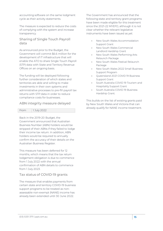accounting software on the same lodgment cycle as their activity statements.

The measure is expected to reduce the costs of complying with the system and increase transparency.

### <span id="page-14-0"></span>Sharing of Single Touch Payroll data

As announced prior to the Budget, the Government will commit \$6.6 million for the development of IT infrastructure that will enable the ATO to share Single Touch Payroll (STP) data with State and Territory Revenue Offices on an ongoing basis.

The funding will be deployed following further consideration of which states and territories are able and willing to make investments in their own systems and administrative processes to pre-fill payroll tax returns with STP data in order to reduce compliance costs for businesses.

### <span id="page-14-1"></span>ABN integrity measure delayed

| From | 1 July 2022 |  |
|------|-------------|--|

Back in the 2019-20 Budget, the Government announced that Australian Business Number (ABN) holders would be stripped of their ABNs if they failed to lodge their income tax return. In addition, ABN holders would be required to annually confirm the accuracy of their details on the Australian Business Register.

This measure has been deferred for 12 months, which means that the tax return lodgement obligation is due to commence from 1 July 2022 with the annual confirmation of ABN details to commence from 1 July 2023.

# <span id="page-14-2"></span>Tax status of COVID-19 grants

The measure that enables payments from certain state and territory COVID-19 business support programs to be treated as nonassessable non-exempt (NANE) income has already been extended until 30 June 2022.

The Government has announced that the following state and territory grant programs have been made eligible for this treatment since the 2021-22 MYEFO, although it is not clear whether the relevant legislative instruments have been issued as yet:

- New South Wales Accommodation Support Grant
- New South Wales Commercial Landlord Hardship Grant
- New South Wales Performing Arts Relaunch Package
- New South Wales Festival Relaunch Package
- New South Wales 2022 Small Business Support Program
- Queensland 2021 COVID 19 Business Support Grant
- South Australia COVID 19 Tourism and Hospitality Support Grant
- South Australia COVID 19 Business Hardship Grant.

This builds on the list of existing grants paid by New South Wales and Victoria that can already qualify for NANE income treatment.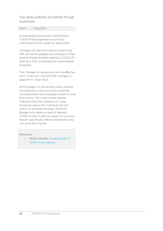### <span id="page-15-0"></span>Tax deductibility of COVID-19 test expenses

| .<br>77 T T T T | 1 July 2021 |
|-----------------|-------------|
|                 |             |

As previously announced, work-related COVID‑19 test expenses incurred by individuals will be made tax deductible.

Changes will also be made to ensure that FBT will not be payable by employers if they provide fringe benefits relating to COVID‑19 testing to their employees for work-related purposes.

The changes for deductions will be effective from 1 July 2021, with the FBT changes to apply from 1 April 2021.

At this stage it is not entirely clear whether the deduction rules will cover expenses incurred where the employee is able to work from home. The initial media release indicates that the measure will cover situations where the individual has the option of working remotely, while the Budget only refers to costs of taking a COVID-19 test to attend a place of work but doesn't specifically refer to employees who can work from home.

**Resources** 

• Media release: Tax deductibility of [COVID-19 test expenses](https://ministers.treasury.gov.au/ministers/michael-sukkar-2019/media-releases/tax-deductibility-covid-19-test-expenses)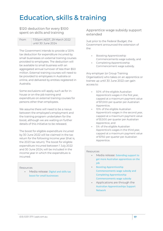# <span id="page-16-0"></span>Education, skills & training

<span id="page-16-1"></span>\$120 deduction for every \$100 spent on skills and training

| From | 7:30pm AEDT, 29 March 2022 |
|------|----------------------------|
|      | until 30 June 2024.        |

The Government intends to provide a 120% tax deduction for expenditure incurred by small businesses on external training courses provided to employees. The deduction will be available to small business with an aggregated annual turnover of less than \$50 million. External training courses will need to be provided to employees in Australia or online, and delivered by entities registered in Australia.

Some exclusions will apply, such as for inhouse or on-the-job training and expenditure on external training courses for persons other than employees.

We assume there will need to be a nexus between the employee's employment and the training program undertaken for the boost, although we are waiting on further details of this initiative to be released.

The boost for eligible expenditure incurred by 30 June 2022 will be claimed in the tax return for the following income year (that is, the 2023 tax return). The boost for eligible expenditure incurred between 1 July 2022 and 30 June 2024, will be included in the income year in which the expenditure is incurred.

#### Resources

• Media release: [Digital and skills tax](https://ministers.treasury.gov.au/ministers/josh-frydenberg-2018/media-releases/digital-and-skills-tax-boost-small-businesses)  [boost for small businesses](https://ministers.treasury.gov.au/ministers/josh-frydenberg-2018/media-releases/digital-and-skills-tax-boost-small-businesses)

#### <span id="page-16-2"></span>Apprentice wage subsidy support extended

Just prior to the Federal Budget, the Government announced the extension of the:

- Boosting Apprenticeship Commencements wage subsidy, and
- Completing Apprenticeship Commencement wage subsidy.

Any employer (or Group Training Organisation) who takes on an apprentice or trainee up until 30 June 2022 can gain access to:

- 50% of the eligible Australian Apprentice's wages in the first year, capped at a maximum payment value of \$7,000 per quarter per Australian Apprentice,
- 10% of the eligible Australian Apprentice's wages in the second year, capped at a maximum payment value of \$1,500 per quarter per Australian Apprentice, and
- 5% of the eligible Australian Apprentice's wages in the third year, capped at a maximum payment value of \$750 per quarter per Australian Apprentice.

#### Resources

- Media release: Extending support to [get more Australian apprentices on the](https://joshfrydenberg.com.au/latest-news/extending-support-to-get-more-australian-apprentices-on-the-job/)  [job](https://joshfrydenberg.com.au/latest-news/extending-support-to-get-more-australian-apprentices-on-the-job/)
- [Boosting Apprenticeship](https://www.dese.gov.au/boosting-apprenticeship-commencements)  [Commencements wage subsidy and](https://www.dese.gov.au/boosting-apprenticeship-commencements)  [Completing Apprenticeship](https://www.dese.gov.au/boosting-apprenticeship-commencements)  [Commencements wage subsidy](https://www.dese.gov.au/boosting-apprenticeship-commencements)
- Applications are through the [Australian Apprenticeships Support](https://www.apprenticeshipsupport.com.au/Employers/Register-to-access-funding)  [Network](https://www.apprenticeshipsupport.com.au/Employers/Register-to-access-funding)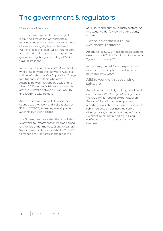# <span id="page-17-0"></span>The government & regulators

# <span id="page-17-1"></span>Visa rule changes

The pandemic has created a scarcity of labour. As a result, the Government is relaxing certain work restrictions for a range of visas including eligible Student and Working Holiday Maker (WHM) visa holders, and extended visas for certain engineering graduates negatively affected by COVID-19 travel restrictions.

International students and WHM visa holders who bring forward their arrival to Australia will be refunded the Visa Application Charge for Student visa holders who arrive in Australia between 19 January 2022 and 19 March 2022, and for WHM visa holders who arrive in Australia between 19 January 2022 and 19 April 2022, inclusive.

And, the Government will also increase country caps for Work and Holiday visas by 30% in 2022-23, increasing overall places available by around 11,000.

The Government has stated that it will also "clarify the tax treatment for income earned by workers under the Australian Agriculture Visa scheme established in MYEFO 2021-22 to respond to workforce shortages in the

agriculture and primary industry sectors." At this stage, we don't know what this clarity means!

<span id="page-17-2"></span>Extension of the ATO's Tax Avoidance Taskforce

An additional \$652.6m has been set aside to extend the ATO's Tax Avoidance Taskforce by 2 years to 30 June 2025.

In that time, the taskforce is expected to increase receipts by \$2.1bn and increase payments by \$652.6m.

### <span id="page-17-3"></span>ABS to work with accounting software

Buried under the wildly exciting headline of *Commonwealth's Deregulation Agenda*, is the \$19.9 million spend by the Australian Bureau of Statistics to develop a new reporting application to enable businesses to submit surveys on business indicators directly through their accounting software. Excellent. Real time reporting utilising verified data on the state of Australian business.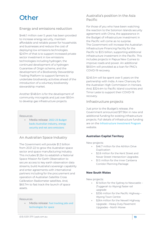# <span id="page-18-0"></span>**Other**

# <span id="page-18-1"></span>Energy and emissions reduction

\$446.1 million over 5 years has been provided to increase energy security, maintain affordable and reliable power for households and businesses and reduce the cost of deploying low emissions technologies. \$247m of that is to support increased private sector investment in low emissions technologies including hydrogen, the continued development of a hydrogen Guarantee of Origin scheme, and the development of a Biodiversity Stewardship Trading Platform to support farmers to undertake biodiversity activities ahead of the introduction of a voluntary biodiversity stewardship market.

Another \$148.6m is for the development of community microgrids and just over \$50m to develop gas infrastructure projects.

#### Resources

• Media release: 2022-23 Budget [backs Australian industry, energy](https://www.minister.industry.gov.au/ministers/taylor/media-releases/2022-23-budget-backs-australian-industry-energy-security-and-net-zero-emissions)  [security and net zero emissions](https://www.minister.industry.gov.au/ministers/taylor/media-releases/2022-23-budget-backs-australian-industry-energy-security-and-net-zero-emissions)

# <span id="page-18-2"></span>An Australian Space Industry

The Government will provide \$1.3 billion from 2021-22 to grow the Australian space sector and space manufacturing industry. This includes \$1.2bn to establish a National Space Mission for Earth Observation to secure access to key earth observation data streams, build Australia's sovereign capability and enter agreements with international partners including for the procurement and operation of Australian Satellite Cross Calibration Radiometer satellites. And, \$65.7m to fast track the launch of space assets.

#### Resources

• Media release: [Fast tracking jobs and](https://www.pm.gov.au/media/fast-tracking-jobs-and-technologies-space)  [technologies for space](https://www.pm.gov.au/media/fast-tracking-jobs-and-technologies-space)

# <span id="page-18-3"></span>Australia's position in the Asia Pacific

For those of you who have been watching the reaction to the Solomon Islands security agreement with China, the appearance in the Budget of infrastructure investment in the Pacific will come as no surprise. The Government will increase the Australian Infrastructure Financing Facility for the Pacific to \$3.5 billion, supporting additional infrastructure investment in the Pacific. This includes projects in Papua New Guinea to improve roads and power. An additional \$650m will provided as a loan for PNG's COVID-19 recovery.

\$245.5m will be spent over 5 years on the partnership with India. A new Chancery for the Australian High Commission in Honiara. And, \$324.4m to Pacific Island countries and Timor Leste to support their COVID-19 recovery.

### <span id="page-18-4"></span>Infrastructure projects

Just prior to the Budget's release, the Government announced \$17.9bn in new and additional funding for existing infrastructure projects. Full details of infrastructure funding are on the [Infrastructure Investment Program](https://investment.infrastructure.gov.au/) website.

#### <span id="page-18-5"></span>**Australian Capital Territory**

New projects:

- \$46.7 million for the Athllon Drive Duplication
- \$2.8 million for the Kent Street and Novar Street Intersection Upgrades
- \$1.5 million for the Inner Canberra Corridor Planning Package

#### <span id="page-18-6"></span>**New South Wales**

New projects:

- \$1 billion for the Sydney to Newcastle (Tuggerah to Wyong) faster rail upgrade
- \$336 million for the Pacific Highway Wyong Town Centre
- \$264 million for the Newell Highway Upgrade – Heavy Duty Pavement Upgrades – North Moree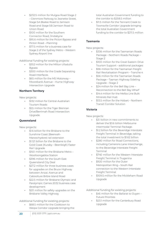- \$232.5 million for Mulgoa Road Stage 2 – Glenmore Parkway to Jeanette Street, Stage 5A Blaikie Road to Jamison Road and Stage 5B Jamison Road to Union Road
- \$100 million for the Southern Connector Road, Jindabyne
- \$95.6 million for the Picton Bypass and Picton Road – Planning
- \$77.5 million for a business case for Stage 2 of the Sydney Metro –Western Sydney Airport line

Additional funding for existing projects:

- \$352 million for the Milton Ulladulla Bypass
- \$300 million for the Grade Separating Road Interfaces
- \$65 million for the M5 Motorway Moorebank Avenue – Hume Highway Intersection Upgrade

#### <span id="page-19-0"></span>**Northern Territory**

New projects:

- \$132 million for Central Australian Tourism Roads
- \$55 million for the Tiger Brennan Drive/Berrimah Road Intersection Upgrade

#### <span id="page-19-1"></span>**Queensland**

New projects:

- **\$1.6 billion for the Brisbane to the** Sunshine Coast (Beerwah-Maroochydore) rail extension
- \$1.121 billion for the Brisbane to the Gold Coast (Kuraby – Beenleigh) Faster Rail Upgrade
- \$150 million for the Brisbane Metro Woolloongabba Station
- \$396 million for the South East Queensland City Deal
- \$27.2 million for three business cases for upgrades on the Bruce Highway between Anzac Avenue and Caboolture Bribie Island Road
- \$22.5 million for Brisbane Olympic and Paralympic Games 2032 business case development
- \$20 million for safety upgrades on the Brisbane Valley Highway

Additional funding for existing projects:

• \$68.5 million for the Cooktown to Weipa Corridor Upgrade bringing the total Australian Government funding to the corridor to \$258.5 million

• \$11.5 million for the Tennant Creek to Townsville Corridor Upgrade bringing the total Australian Government funding to the corridor to \$211.5 million

#### <span id="page-19-2"></span>**Tasmania**

New projects:

- \$336 million for the Tasmanian Roads Package – Northern Roads Package – Stage 2
- \$100 million for the Great Eastern Drive Tourism Support – additional packages
- \$96 million for the Tasmanian Freight Rail Revitalisation Program – Tranche 4
- \$56 million for the Tasmanian Roads Package – Tasman Highway Sideling Upgrade – Stage 2
- \$24 million for the Bell Bay Line Reconnection to the Bell Bay Wharf
- \$14.4 million for the Melba Line Bulk Minerals Rail Hub
- \$13.5 million for the Hobart Northern Transit Corridor Solution

#### <span id="page-19-3"></span>**Victoria**

New projects:

- \$3.1 billion in new commitments to deliver the \$3.6 billion Melbourne Intermodal Terminal Package.
- \$1.2 billion for the Beveridge Interstate Freight Terminal in Beveridge, taking the total investment to \$1.62 billion
- \$280 million for Road Connections, including Camerons Lane Interchange, to the Beveridge Interstate Freight Terminal
- \$740 million for the Western Interstate Freight Terminal in Truganina
- \$920 million for the Outer Metropolitan Ring – South Rail connection to the Western Interstate Freight Terminal
- \$109.5 million for the Mickleham Road Upgrade

Additional funding for existing projects:

- \$45 million for the Ballarat to Ouyen Future Priorities
- \$23.1 million for the Canterbury Road Upgrade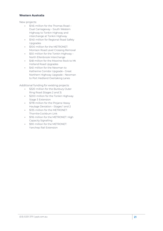#### <span id="page-20-0"></span>**Western Australia**

New projects:

- \$145 million for the Thomas Road Dual Carriageway – South Western Highway to Tonkin Highway and interchange at Tonkin Highway
- \$140 million for Regional Road Safety **Upgrades**
- \$100 million for the METRONET: Morrison Road Level Crossing Removal
- \$50 million for the Tonkin Highway North Ellenbrook Interchange
- \$48 million for the Moorine Rock to Mt Holland Road Upgrades
- \$40 million for the Newman to Katherine Corridor Upgrade ‑ Great Northern Highway Upgrade ‑ Newman to Port Hedland Overtaking Lanes

Additional funding for existing projects:

- \$320 million for the Bunbury Outer Ring Road (Stages 2 and 3)
- \$200 million for the Tonkin Highway Stage 3 Extension
- \$178 million for the Pinjarra Heavy Haulage Deviation – Stages 1 and 2
- \$135 million for the METRONET Thornlie‑Cockburn Link
- \$116 million for the METRONET: High Capacity Signalling
- \$90 million for the METRONET: Yanchep Rail Extension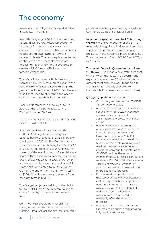# <span id="page-21-0"></span>The economy

Australia's unemployment rate is at 4%: the lowest rate in 48 years.

Amid the ongoing COVID 19 pandemic and natural disasters, the Australian economy has outperformed all major advanced economies, experiencing a stronger recovery in output and employment from pre pandemic levels. The recovery is expected to continue with the unemployment rate forecast to reach 3.75% in the September quarter of 2022, nearly 3% below the forecast 2 years ago.

The Wage Price Index (WPI) is forecast to increase from 2.75% through the year to the June quarter of 2022 to 3.25% through the year to the June quarter of 2023. But, there is "significant uncertainty around the pace at which wages growth will accelerate."

Real GDP is forecast to grow by 4.25% in 2021-22. And, by 3.5% in 2022-23 and 2.5% per cent in 2023-24.

The deficit for 2022-23 is expected to be \$78 billion or 3.4% of GDP.

Since the Mid Year Economic and Fiscal Outlook (MYEFO), the underlying cash balance has improved by \$103.6 billion over the 5 years to 2025-26. The Budget shows the deficit more than halving to 1.6% of GDP by 2025-26 before falling to 0.7% of GDP by the end of the medium term. Gross debt as a share of the economy is expected to peak at 44.9% of GDP at 30 June 2025, 5.4% lower and 4 years earlier than projected at MYEFO. Gross debt is projected to fall to 40.3% of GDP by the end of the medium term, 9.6% or \$236 billion lower than at the end of the medium term in MYEFO.

The Budget projects a halving in the deficit to 1.6% of GDP by 2025‑26 before falling to 0.7% of GDP by the end of the medium term.

Commodity prices are near record high levels, in part due to the Russian invasion of Ukraine. Metallurgical and thermal coal spot prices have recently reached highs that are 62% and 53% above previous peaks.

#### Inflation is expected to rise to 4.25% through

the year to the June quarter of 2022. This reflects higher global oil prices and ongoing supply chain pressures as well as price pressures in the housing construction sector. Then moderate to 3% in 2022-23 and 2.75% in 2023-24.

#### The recent floods in Queensland and New

South Wales have had a devastating impact on many communities. The Government expects to spend over \$6 billion in total on disaster relief and recovery (in addition to the \$3.6 billion already allocated to households, businesses and communities).

#### On COVID-19, the Budget assumes:

- Community transmission of COVID-19 will continue to occur.
- A further Omicron wave is assumed to occur over Winter 2022, which may again see elevated rates of absenteeism and pressure on supply chains.
- Beyond Winter, it is assumed that Australia will continue to experience intermittent, localised waves of Omicron, or other new COVID-19 variants. However, it is assumed that high vaccination rates and improved medical treatments, together with continued community adaptation to COVID-19, will see the economic impact of future outbreaks continue to moderate. Box 2.4 considers a scenario where a new COVID-19 variant of concern poses greater downside risks to the economic forecasts.
- It is assumed that public health measures such as physical distancing and density restrictions are phased down, but reimposed in a targeted way in response to future COVID-19 outbreaks. These public health measures are not expected to materially affect the economic forecasts.
- Australia's international borders are assumed to be open to migrants and fully vaccinated tourists.